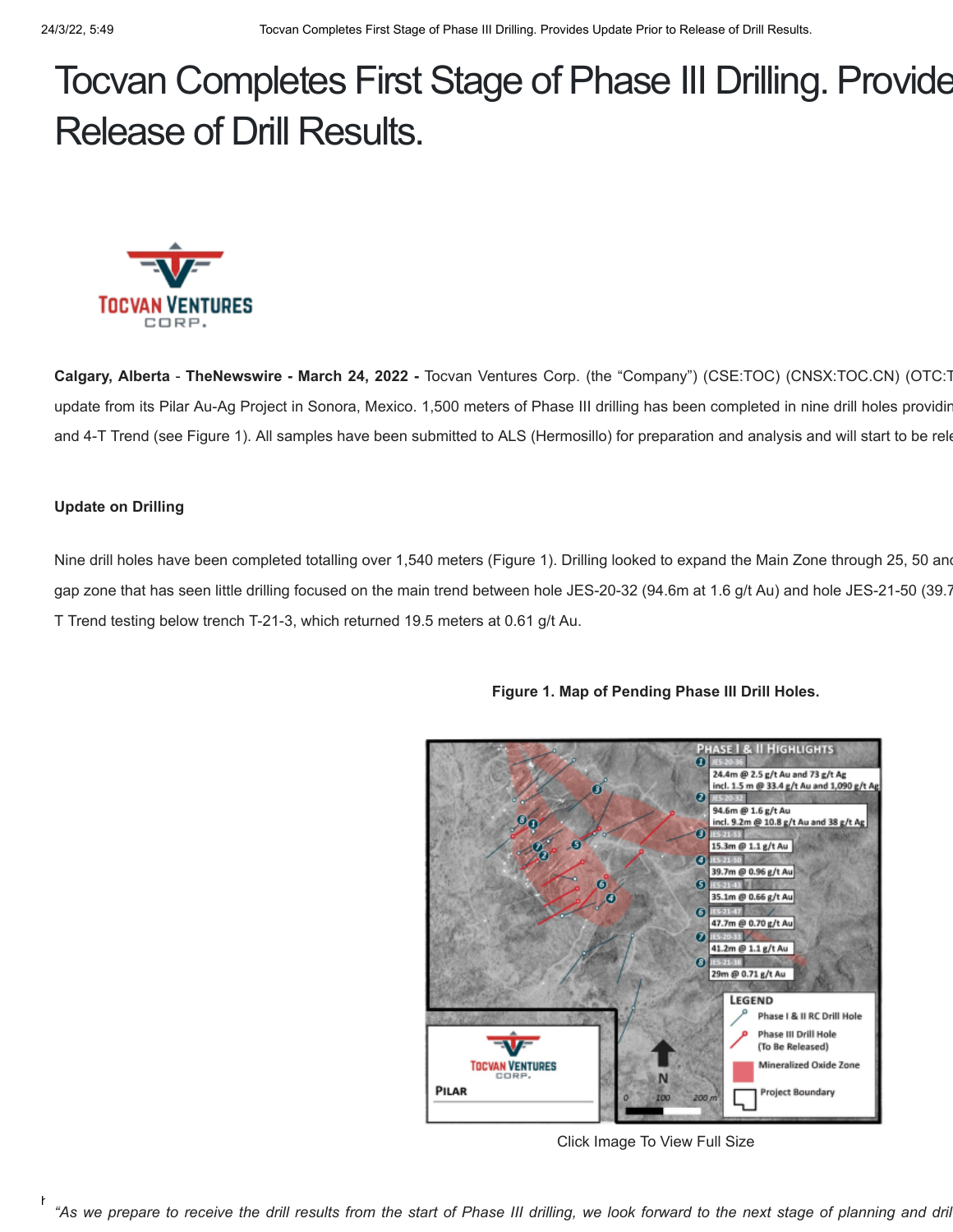# Tocvan Completes First Stage of Phase III Drilling. Provide Release of Drill Results.



**Calgary, Alberta** - **TheNewswire - March 24, 2022 -** Tocvan Ventures Corp. (the "Company") (CSE:TOC) (CNSX:TOC.CN) (OTC:T update from its Pilar Au-Ag Project in Sonora, Mexico. 1,500 meters of Phase III drilling has been completed in nine drill holes providin and 4-T Trend (see Figure 1). All samples have been submitted to ALS (Hermosillo) for preparation and analysis and will start to be rele

# **Update on Drilling**

Nine drill holes have been completed totalling over 1,540 meters (Figure 1). Drilling looked to expand the Main Zone through 25, 50 and gap zone that has seen little drilling focused on the main trend between hole JES-20-32 (94.6m at 1.6 g/t Au) and hole JES-21-50 (39.7 T Trend testing below trench T-21-3, which returned 19.5 meters at 0.61 g/t Au.



**Figure 1. Map of Pending Phase III Drill Holes.**

Click Image To View Full Size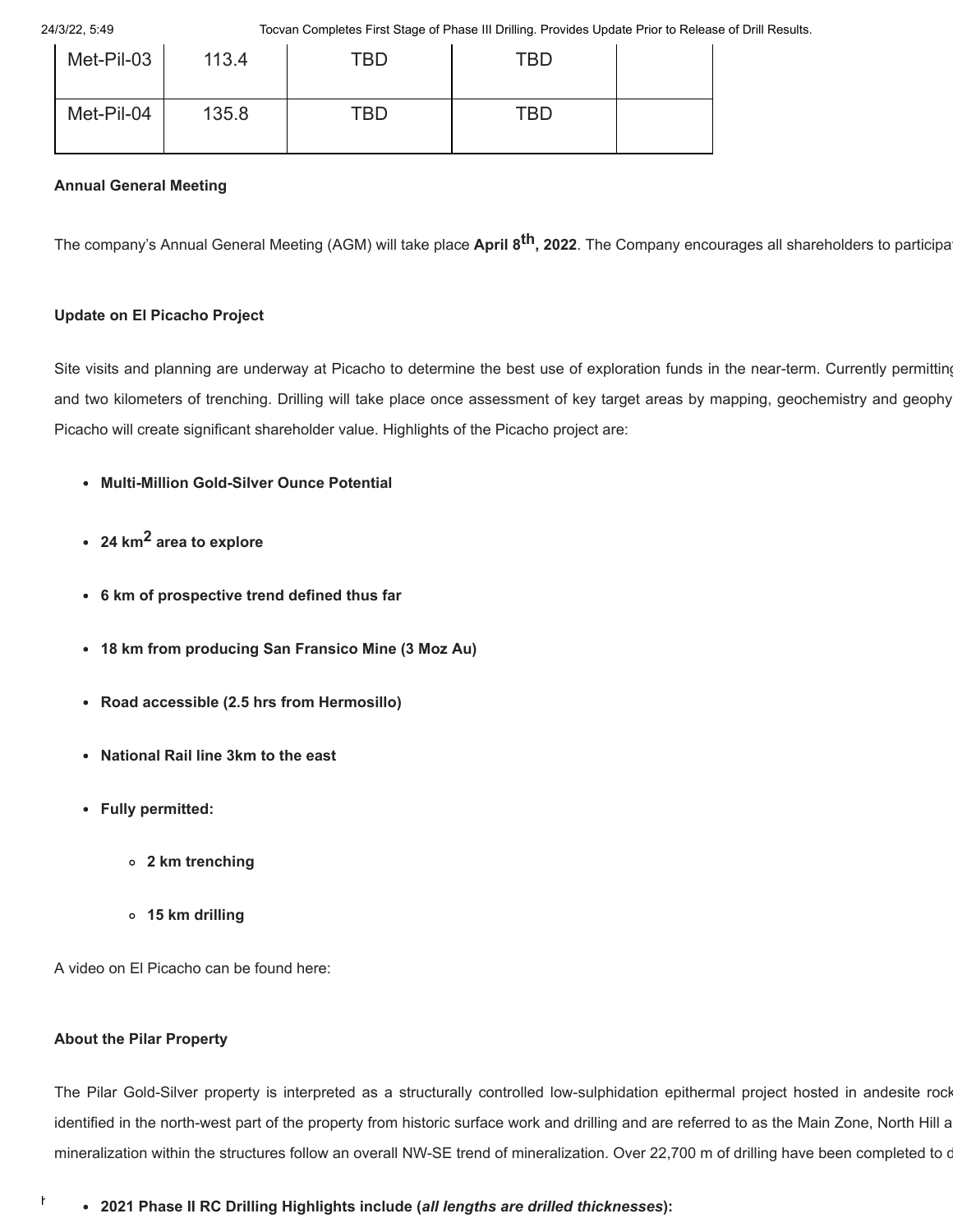24/3/22, 5:49 Tocvan Completes First Stage of Phase III Drilling. Provides Update Prior to Release of Drill Results.

| Met-Pil-03 | 113.4 | TBD | TBD        |  |
|------------|-------|-----|------------|--|
| Met-Pil-04 | 135.8 | TBD | <b>TBD</b> |  |

# **Annual General Meeting**

The company's Annual General Meeting (AGM) will take place **April 8th, 2022**. The Company encourages all shareholders to participat

## **Update on El Picacho Project**

Site visits and planning are underway at Picacho to determine the best use of exploration funds in the near-term. Currently permitting and two kilometers of trenching. Drilling will take place once assessment of key target areas by mapping, geochemistry and geophy Picacho will create significant shareholder value. Highlights of the Picacho project are:

- **Multi-Million Gold-Silver Ounce Potential**
- **24 km2 area to explore**
- **6 km of prospective trend defined thus far**
- **18 km from producing San Fransico Mine (3 Moz Au)**
- **Road accessible (2.5 hrs from Hermosillo)**
- **National Rail line 3km to the east**
- **Fully permitted:**
	- **2 km trenching**
	- **15 km drilling**

A video on El Picacho can be found here:

## **About the Pilar Property**

The Pilar Gold-Silver property is interpreted as a structurally controlled low-sulphidation epithermal project hosted in andesite rock identified in the north-west part of the property from historic surface work and drilling and are referred to as the Main Zone, North Hill a mineralization within the structures follow an overall NW-SE trend of mineralization. Over 22,700 m of drilling have been completed to d